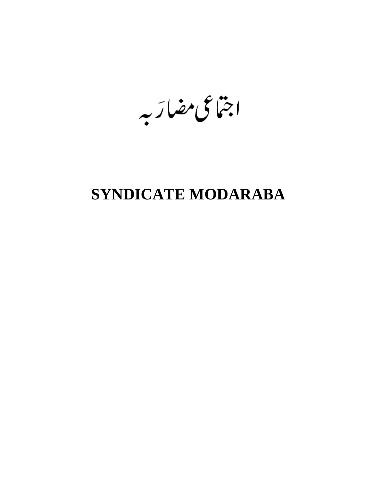اجتاعى مضارَبه

# **SYNDICATE MODARABA**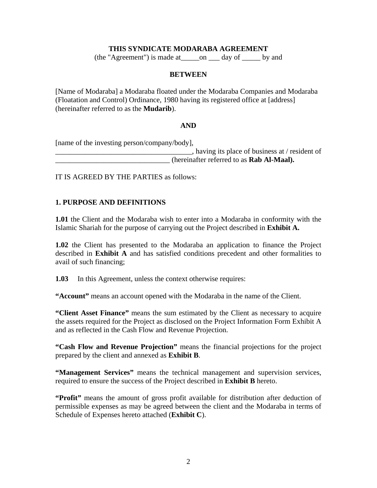## **THIS SYNDICATE MODARABA AGREEMENT**

(the "Agreement") is made at\_\_\_\_\_on \_\_\_ day of \_\_\_\_\_ by and

#### **BETWEEN**

[Name of Modaraba] a Modaraba floated under the Modaraba Companies and Modaraba (Floatation and Control) Ordinance, 1980 having its registered office at [address] (hereinafter referred to as the **Mudarib**).

#### **AND**

[name of the investing person/company/body],

 $\Box$ , having its place of business at / resident of \_\_\_\_\_\_\_\_\_\_\_\_\_\_\_\_\_\_\_\_\_\_\_\_\_\_\_\_\_\_\_ (hereinafter referred to as **Rab Al-Maal).**

IT IS AGREED BY THE PARTIES as follows:

### **1. PURPOSE AND DEFINITIONS**

**1.01** the Client and the Modaraba wish to enter into a Modaraba in conformity with the Islamic Shariah for the purpose of carrying out the Project described in **Exhibit A.**

**1.02** the Client has presented to the Modaraba an application to finance the Project described in **Exhibit A** and has satisfied conditions precedent and other formalities to avail of such financing;

**1.03** In this Agreement, unless the context otherwise requires:

**"Account"** means an account opened with the Modaraba in the name of the Client.

**"Client Asset Finance"** means the sum estimated by the Client as necessary to acquire the assets required for the Project as disclosed on the Project Information Form Exhibit A and as reflected in the Cash Flow and Revenue Projection.

**"Cash Flow and Revenue Projection"** means the financial projections for the project prepared by the client and annexed as **Exhibit B**.

**"Management Services"** means the technical management and supervision services, required to ensure the success of the Project described in **Exhibit B** hereto.

**"Profit"** means the amount of gross profit available for distribution after deduction of permissible expenses as may be agreed between the client and the Modaraba in terms of Schedule of Expenses hereto attached (**Exhibit C**).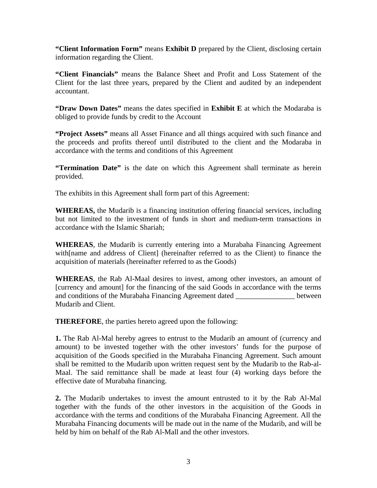**"Client Information Form"** means **Exhibit D** prepared by the Client, disclosing certain information regarding the Client.

**"Client Financials"** means the Balance Sheet and Profit and Loss Statement of the Client for the last three years, prepared by the Client and audited by an independent accountant.

**"Draw Down Dates"** means the dates specified in **Exhibit E** at which the Modaraba is obliged to provide funds by credit to the Account

**"Project Assets"** means all Asset Finance and all things acquired with such finance and the proceeds and profits thereof until distributed to the client and the Modaraba in accordance with the terms and conditions of this Agreement

**"Termination Date"** is the date on which this Agreement shall terminate as herein provided.

The exhibits in this Agreement shall form part of this Agreement:

**WHEREAS,** the Mudarib is a financing institution offering financial services, including but not limited to the investment of funds in short and medium-term transactions in accordance with the Islamic Shariah;

**WHEREAS**, the Mudarib is currently entering into a Murabaha Financing Agreement with[name and address of Client] (hereinafter referred to as the Client) to finance the acquisition of materials (hereinafter referred to as the Goods)

**WHEREAS**, the Rab Al-Maal desires to invest, among other investors, an amount of [currency and amount] for the financing of the said Goods in accordance with the terms and conditions of the Murabaha Financing Agreement dated between Mudarib and Client.

**THEREFORE**, the parties hereto agreed upon the following:

**1.** The Rab Al-Mal hereby agrees to entrust to the Mudarib an amount of (currency and amount) to be invested together with the other investors' funds for the purpose of acquisition of the Goods specified in the Murabaha Financing Agreement. Such amount shall be remitted to the Mudarib upon written request sent by the Mudarib to the Rab-al-Maal. The said remittance shall be made at least four (4) working days before the effective date of Murabaha financing.

**2.** The Mudarib undertakes to invest the amount entrusted to it by the Rab Al-Mal together with the funds of the other investors in the acquisition of the Goods in accordance with the terms and conditions of the Murabaha Financing Agreement. All the Murabaha Financing documents will be made out in the name of the Mudarib, and will be held by him on behalf of the Rab Al-Mall and the other investors.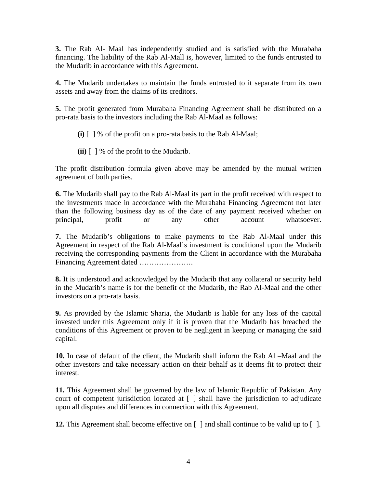**3.** The Rab Al- Maal has independently studied and is satisfied with the Murabaha financing. The liability of the Rab Al-Mall is, however, limited to the funds entrusted to the Mudarib in accordance with this Agreement.

**4.** The Mudarib undertakes to maintain the funds entrusted to it separate from its own assets and away from the claims of its creditors.

**5.** The profit generated from Murabaha Financing Agreement shall be distributed on a pro-rata basis to the investors including the Rab Al-Maal as follows:

- **(i)** [ ] % of the profit on a pro-rata basis to the Rab Al-Maal;
- **(ii)** [ ] % of the profit to the Mudarib.

The profit distribution formula given above may be amended by the mutual written agreement of both parties.

**6.** The Mudarib shall pay to the Rab Al-Maal its part in the profit received with respect to the investments made in accordance with the Murabaha Financing Agreement not later than the following business day as of the date of any payment received whether on principal, profit or any other account whatsoever.

**7.** The Mudarib's obligations to make payments to the Rab Al-Maal under this Agreement in respect of the Rab Al-Maal's investment is conditional upon the Mudarib receiving the corresponding payments from the Client in accordance with the Murabaha Financing Agreement dated ………………….

**8.** It is understood and acknowledged by the Mudarib that any collateral or security held in the Mudarib's name is for the benefit of the Mudarib, the Rab Al-Maal and the other investors on a pro-rata basis.

**9.** As provided by the Islamic Sharia, the Mudarib is liable for any loss of the capital invested under this Agreement only if it is proven that the Mudarib has breached the conditions of this Agreement or proven to be negligent in keeping or managing the said capital.

**10.** In case of default of the client, the Mudarib shall inform the Rab Al –Maal and the other investors and take necessary action on their behalf as it deems fit to protect their interest.

**11.** This Agreement shall be governed by the law of Islamic Republic of Pakistan. Any court of competent jurisdiction located at [ ] shall have the jurisdiction to adjudicate upon all disputes and differences in connection with this Agreement.

**12.** This Agreement shall become effective on  $\lceil \cdot \rceil$  and shall continue to be valid up to  $\lceil \cdot \rceil$ .